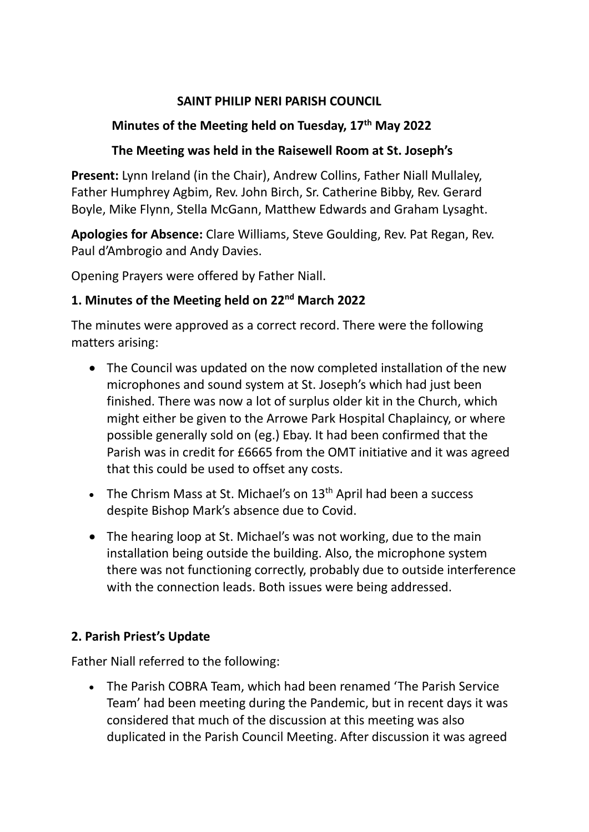#### **SAINT PHILIP NERI PARISH COUNCIL**

# **Minutes of the Meeting held on Tuesday, 17th May 2022**

## **The Meeting was held in the Raisewell Room at St. Joseph's**

**Present:** Lynn Ireland (in the Chair), Andrew Collins, Father Niall Mullaley, Father Humphrey Agbim, Rev. John Birch, Sr. Catherine Bibby, Rev. Gerard Boyle, Mike Flynn, Stella McGann, Matthew Edwards and Graham Lysaght.

**Apologies for Absence:** Clare Williams, Steve Goulding, Rev. Pat Regan, Rev. Paul d'Ambrogio and Andy Davies.

Opening Prayers were offered by Father Niall.

# **1. Minutes of the Meeting held on 22nd March 2022**

The minutes were approved as a correct record. There were the following matters arising:

- The Council was updated on the now completed installation of the new microphones and sound system at St. Joseph's which had just been finished. There was now a lot of surplus older kit in the Church, which might either be given to the Arrowe Park Hospital Chaplaincy, or where possible generally sold on (eg.) Ebay. It had been confirmed that the Parish was in credit for £6665 from the OMT initiative and it was agreed that this could be used to offset any costs.
- The Chrism Mass at St. Michael's on  $13<sup>th</sup>$  April had been a success despite Bishop Mark's absence due to Covid.
- The hearing loop at St. Michael's was not working, due to the main installation being outside the building. Also, the microphone system there was not functioning correctly, probably due to outside interference with the connection leads. Both issues were being addressed.

## **2. Parish Priest's Update**

Father Niall referred to the following:

• The Parish COBRA Team, which had been renamed 'The Parish Service Team' had been meeting during the Pandemic, but in recent days it was considered that much of the discussion at this meeting was also duplicated in the Parish Council Meeting. After discussion it was agreed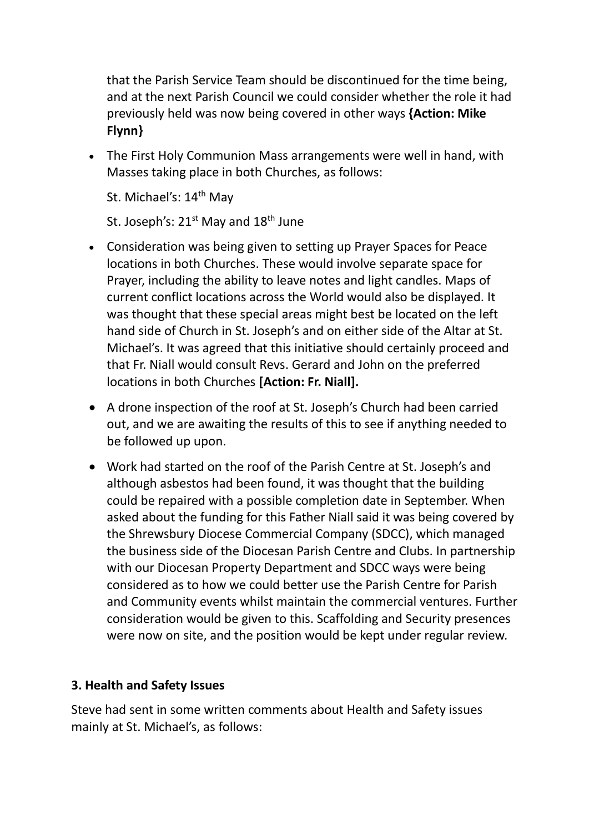that the Parish Service Team should be discontinued for the time being, and at the next Parish Council we could consider whether the role it had previously held was now being covered in other ways **{Action: Mike Flynn}**

• The First Holy Communion Mass arrangements were well in hand, with Masses taking place in both Churches, as follows:

St. Michael's: 14<sup>th</sup> May

St. Joseph's:  $21^{st}$  May and  $18^{th}$  June

- Consideration was being given to setting up Prayer Spaces for Peace locations in both Churches. These would involve separate space for Prayer, including the ability to leave notes and light candles. Maps of current conflict locations across the World would also be displayed. It was thought that these special areas might best be located on the left hand side of Church in St. Joseph's and on either side of the Altar at St. Michael's. It was agreed that this initiative should certainly proceed and that Fr. Niall would consult Revs. Gerard and John on the preferred locations in both Churches **[Action: Fr. Niall].**
- A drone inspection of the roof at St. Joseph's Church had been carried out, and we are awaiting the results of this to see if anything needed to be followed up upon.
- Work had started on the roof of the Parish Centre at St. Joseph's and although asbestos had been found, it was thought that the building could be repaired with a possible completion date in September. When asked about the funding for this Father Niall said it was being covered by the Shrewsbury Diocese Commercial Company (SDCC), which managed the business side of the Diocesan Parish Centre and Clubs. In partnership with our Diocesan Property Department and SDCC ways were being considered as to how we could better use the Parish Centre for Parish and Community events whilst maintain the commercial ventures. Further consideration would be given to this. Scaffolding and Security presences were now on site, and the position would be kept under regular review.

#### **3. Health and Safety Issues**

Steve had sent in some written comments about Health and Safety issues mainly at St. Michael's, as follows: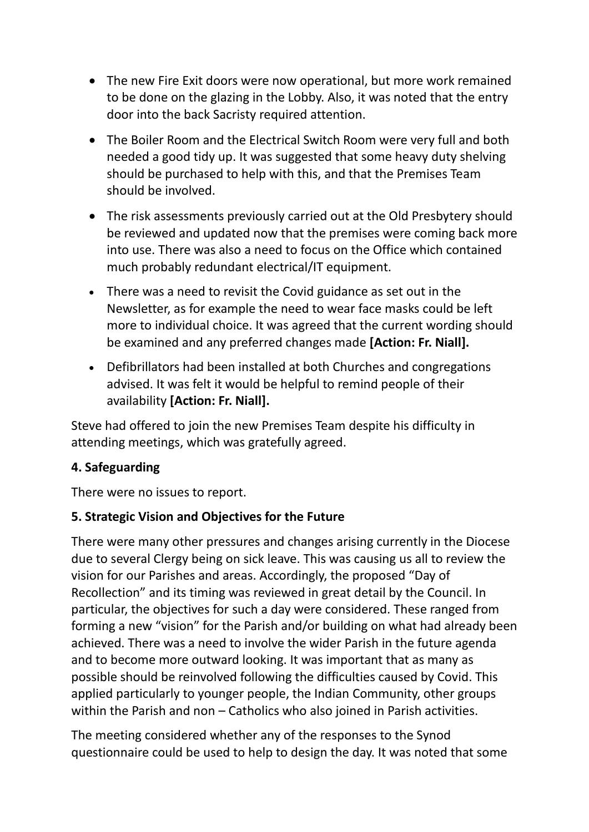- The new Fire Exit doors were now operational, but more work remained to be done on the glazing in the Lobby. Also, it was noted that the entry door into the back Sacristy required attention.
- The Boiler Room and the Electrical Switch Room were very full and both needed a good tidy up. It was suggested that some heavy duty shelving should be purchased to help with this, and that the Premises Team should be involved.
- The risk assessments previously carried out at the Old Presbytery should be reviewed and updated now that the premises were coming back more into use. There was also a need to focus on the Office which contained much probably redundant electrical/IT equipment.
- There was a need to revisit the Covid guidance as set out in the Newsletter, as for example the need to wear face masks could be left more to individual choice. It was agreed that the current wording should be examined and any preferred changes made **[Action: Fr. Niall].**
- Defibrillators had been installed at both Churches and congregations advised. It was felt it would be helpful to remind people of their availability **[Action: Fr. Niall].**

Steve had offered to join the new Premises Team despite his difficulty in attending meetings, which was gratefully agreed.

## **4. Safeguarding**

There were no issues to report.

## **5. Strategic Vision and Objectives for the Future**

There were many other pressures and changes arising currently in the Diocese due to several Clergy being on sick leave. This was causing us all to review the vision for our Parishes and areas. Accordingly, the proposed "Day of Recollection" and its timing was reviewed in great detail by the Council. In particular, the objectives for such a day were considered. These ranged from forming a new "vision" for the Parish and/or building on what had already been achieved. There was a need to involve the wider Parish in the future agenda and to become more outward looking. It was important that as many as possible should be reinvolved following the difficulties caused by Covid. This applied particularly to younger people, the Indian Community, other groups within the Parish and non – Catholics who also joined in Parish activities.

The meeting considered whether any of the responses to the Synod questionnaire could be used to help to design the day. It was noted that some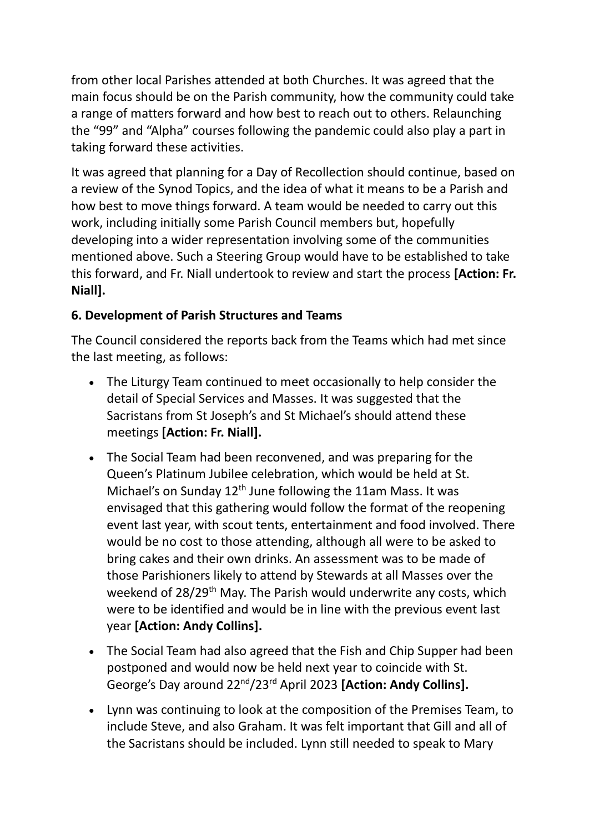from other local Parishes attended at both Churches. It was agreed that the main focus should be on the Parish community, how the community could take a range of matters forward and how best to reach out to others. Relaunching the "99" and "Alpha" courses following the pandemic could also play a part in taking forward these activities.

It was agreed that planning for a Day of Recollection should continue, based on a review of the Synod Topics, and the idea of what it means to be a Parish and how best to move things forward. A team would be needed to carry out this work, including initially some Parish Council members but, hopefully developing into a wider representation involving some of the communities mentioned above. Such a Steering Group would have to be established to take this forward, and Fr. Niall undertook to review and start the process **[Action: Fr. Niall].**

## **6. Development of Parish Structures and Teams**

The Council considered the reports back from the Teams which had met since the last meeting, as follows:

- The Liturgy Team continued to meet occasionally to help consider the detail of Special Services and Masses. It was suggested that the Sacristans from St Joseph's and St Michael's should attend these meetings **[Action: Fr. Niall].**
- The Social Team had been reconvened, and was preparing for the Queen's Platinum Jubilee celebration, which would be held at St. Michael's on Sunday 12<sup>th</sup> June following the 11am Mass. It was envisaged that this gathering would follow the format of the reopening event last year, with scout tents, entertainment and food involved. There would be no cost to those attending, although all were to be asked to bring cakes and their own drinks. An assessment was to be made of those Parishioners likely to attend by Stewards at all Masses over the weekend of 28/29<sup>th</sup> May. The Parish would underwrite any costs, which were to be identified and would be in line with the previous event last year **[Action: Andy Collins].**
- The Social Team had also agreed that the Fish and Chip Supper had been postponed and would now be held next year to coincide with St. George's Day around 22nd/23rd April 2023 **[Action: Andy Collins].**
- Lynn was continuing to look at the composition of the Premises Team, to include Steve, and also Graham. It was felt important that Gill and all of the Sacristans should be included. Lynn still needed to speak to Mary